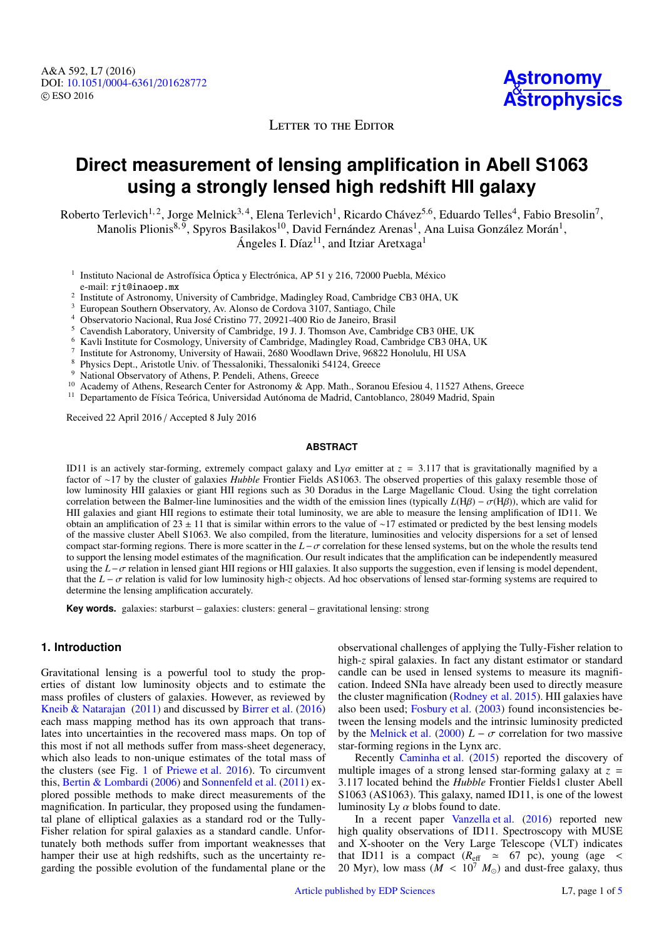LETTER TO THE EDITOR

# **Direct measurement of lensing amplification in Abell S1063 using a strongly lensed high redshift HII galaxy**

Roberto Terlevich<sup>1,2</sup>, Jorge Melnick<sup>3,4</sup>, Elena Terlevich<sup>1</sup>, Ricardo Chávez<sup>5.6</sup>, Eduardo Telles<sup>4</sup>, Fabio Bresolin<sup>7</sup>, Manolis Plionis<sup>8,9</sup>, Spyros Basilakos<sup>10</sup>, David Fernández Arenas<sup>1</sup>, Ana Luisa González Morán<sup>1</sup>,

Ángeles I. Díaz<sup>11</sup>, and Itziar Aretxaga<sup>1</sup>

- <sup>1</sup> Instituto Nacional de Astrofísica Óptica y Electrónica, AP 51 y 216, 72000 Puebla, México e-mail: rjt@inaoep.mx
- <sup>2</sup> Institute of Astronomy, University of Cambridge, Madingley Road, Cambridge CB3 0HA, UK
- <sup>3</sup> European Southern Observatory, Av. Alonso de Cordova 3107, Santiago, Chile
- <sup>4</sup> Observatorio Nacional, Rua José Cristino 77, 20921-400 Rio de Janeiro, Brasil
- <sup>5</sup> Cavendish Laboratory, University of Cambridge, 19 J. J. Thomson Ave, Cambridge CB3 0HE, UK
- <sup>6</sup> Kavli Institute for Cosmology, University of Cambridge, Madingley Road, Cambridge CB3 0HA, UK
- 7 Institute for Astronomy, University of Hawaii, 2680 Woodlawn Drive, 96822 Honolulu, HI USA
- <sup>8</sup> Physics Dept., Aristotle Univ. of Thessaloniki, Thessaloniki 54124, Greece
- <sup>9</sup> National Observatory of Athens, P. Pendeli, Athens, Greece
- <sup>10</sup> Academy of Athens, Research Center for Astronomy & App. Math., Soranou Efesiou 4, 11527 Athens, Greece
- <sup>11</sup> Departamento de Física Teórica, Universidad Autónoma de Madrid, Cantoblanco, 28049 Madrid, Spain

Received 22 April 2016 / Accepted 8 July 2016

#### **ABSTRACT**

ID11 is an actively star-forming, extremely compact galaxy and Lyα emitter at *<sup>z</sup>* <sup>=</sup> <sup>3</sup>.117 that is gravitationally magnified by a factor of ∼17 by the cluster of galaxies *Hubble* Frontier Fields AS1063. The observed properties of this galaxy resemble those of low luminosity HII galaxies or giant HII regions such as 30 Doradus in the Large Magellanic Cloud. Using the tight correlation correlation between the Balmer-line luminosities and the width of the emission lines (typically  $L(H\beta) - \sigma(H\beta)$ ), which are valid for HII galaxies and giant HII regions to estimate their total luminosity, we are able to measure the lensing amplification of ID11. We obtain an amplification of 23 ± 11 that is similar within errors to the value of ∼17 estimated or predicted by the best lensing models of the massive cluster Abell S1063. We also compiled, from the literature, luminosities and velocity dispersions for a set of lensed compact star-forming regions. There is more scatter in the *<sup>L</sup>*−σ correlation for these lensed systems, but on the whole the results tend to support the lensing model estimates of the magnification. Our result indicates that the amplification can be independently measured using the *<sup>L</sup>*−σ relation in lensed giant HII regions or HII galaxies. It also supports the suggestion, even if lensing is model dependent, that the  $L - \sigma$  relation is valid for low luminosity high-*z* objects. Ad hoc observations of lensed star-forming systems are required to determine the lensing amplification accurately.

**Key words.** galaxies: starburst – galaxies: clusters: general – gravitational lensing: strong

## **1. Introduction**

Gravitational lensing is a powerful tool to study the properties of distant low luminosity objects and to estimate the mass profiles of clusters of galaxies. However, as reviewed by [Kneib & Natarajan](#page-3-0) [\(2011\)](#page-3-0) and discussed by [Birrer et al.](#page-3-1) [\(2016\)](#page-3-1) each mass mapping method has its own approach that translates into uncertainties in the recovered mass maps. On top of this most if not all methods suffer from mass-sheet degeneracy, which also leads to non-unique estimates of the total mass of the clusters (see Fig. [1](#page-1-0) of [Priewe et al.](#page-3-2) [2016\)](#page-3-2). To circumvent this, [Bertin & Lombardi](#page-3-3) [\(2006\)](#page-3-3) and [Sonnenfeld et al.](#page-3-4) [\(2011\)](#page-3-4) explored possible methods to make direct measurements of the magnification. In particular, they proposed using the fundamental plane of elliptical galaxies as a standard rod or the Tully-Fisher relation for spiral galaxies as a standard candle. Unfortunately both methods suffer from important weaknesses that hamper their use at high redshifts, such as the uncertainty regarding the possible evolution of the fundamental plane or the

observational challenges of applying the Tully-Fisher relation to high-*z* spiral galaxies. In fact any distant estimator or standard candle can be used in lensed systems to measure its magnification. Indeed SNIa have already been used to directly measure the cluster magnification [\(Rodney et al.](#page-3-5) [2015\)](#page-3-5). HII galaxies have also been used; [Fosbury et al.](#page-3-6) [\(2003\)](#page-3-6) found inconsistencies between the lensing models and the intrinsic luminosity predicted by the [Melnick et al.](#page-3-7) [\(2000\)](#page-3-7)  $L - \sigma$  correlation for two massive star-forming regions in the Lynx arc.

Recently [Caminha et al.](#page-3-8) [\(2015\)](#page-3-8) reported the discovery of multiple images of a strong lensed star-forming galaxy at  $z =$ <sup>3</sup>.117 located behind the *Hubble* Frontier Fields1 cluster Abell S1063 (AS1063). This galaxy, named ID11, is one of the lowest luminosity Ly  $\alpha$  blobs found to date.

In a recent paper [Vanzella et al.](#page-3-9) [\(2016\)](#page-3-9) reported new high quality observations of ID11. Spectroscopy with MUSE and X-shooter on the Very Large Telescope (VLT) indicates that ID11 is a compact  $(R_{\text{eff}} \approx 67 \text{ pc})$ , young (age < 20 Myr), low mass ( $\dot{M}$  < 10<sup>7</sup>  $M_{\odot}$ ) and dust-free galaxy, thus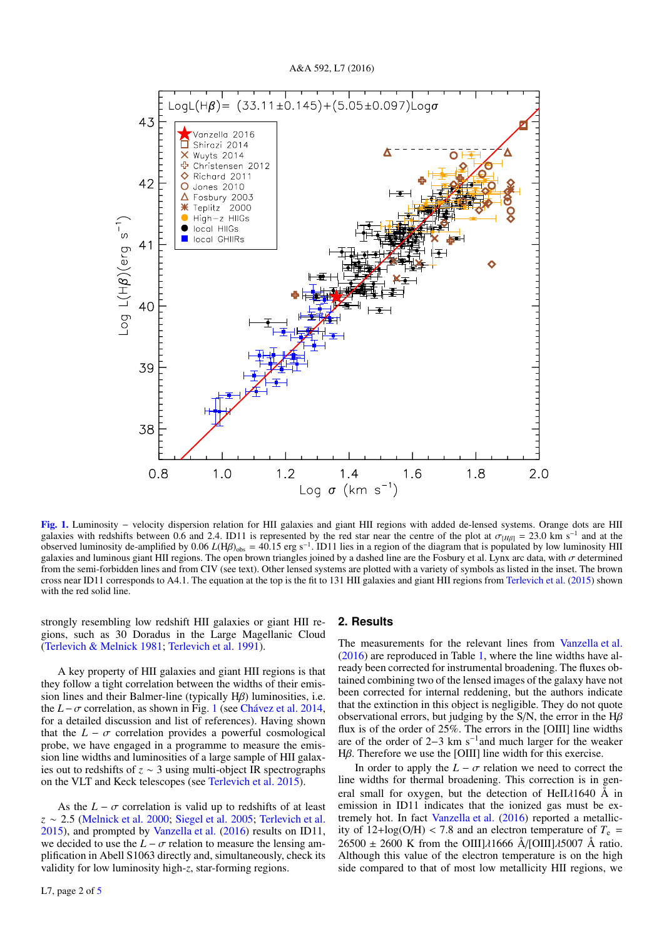

[Fig. 1.](http://dexter.edpsciences.org/applet.php?DOI=10.1051/0004-6361/201628772&pdf_id=1) Luminosity − velocity dispersion relation for HII galaxies and giant HII regions with added de-lensed systems. Orange dots are HII galaxies with redshifts between 0.6 and 2.4. ID11 is represented by the red star near the centre of the plot at  $\sigma_{\text{[H}}/H_B$  = 23.0 km s<sup>-1</sup> and at the observed luminosity de-amplified by 0.06 *L*(H*B*)  $_{\text{L}}$  = 40.15 observed luminosity de-amplified by 0.06 *L*(Hβ)<sub>obs</sub> = 40.15 erg s<sup>−1</sup>. ID11 lies in a region of the diagram that is populated by low luminosity HII regions The onen brown triangles joined by a dashed line are the Fosbu galaxies and luminous giant HII regions. The open brown triangles joined by a dashed line are the Fosbury et al. Lynx arc data, with  $\sigma$  determined from the semi-forbidden lines and from CIV (see text). Other lensed systems are plotted with a variety of symbols as listed in the inset. The brown cross near ID11 corresponds to A4.1. The equation at the top is the fit to 131 HII galaxies and giant HII regions from [Terlevich et al.](#page-3-10) [\(2015\)](#page-3-10) shown with the red solid line.

strongly resembling low redshift HII galaxies or giant HII regions, such as 30 Doradus in the Large Magellanic Cloud [\(Terlevich & Melnick](#page-3-11) [1981;](#page-3-11) [Terlevich et al.](#page-3-12) [1991\)](#page-3-12).

A key property of HII galaxies and giant HII regions is that they follow a tight correlation between the widths of their emission lines and their Balmer-line (typically Hβ) luminosities, i.e. the *<sup>L</sup>*−σ correlation, as shown in Fig. [1](#page-1-0) (see [Chávez et al.](#page-3-13) [2014,](#page-3-13) for a detailed discussion and list of references). Having shown that the  $L - \sigma$  correlation provides a powerful cosmological probe, we have engaged in a programme to measure the emission line widths and luminosities of a large sample of HII galaxies out to redshifts of *z* ∼ 3 using multi-object IR spectrographs on the VLT and Keck telescopes (see [Terlevich et al.](#page-3-10) [2015\)](#page-3-10).

As the  $L - \sigma$  correlation is valid up to redshifts of at least *<sup>z</sup>* <sup>∼</sup> <sup>2</sup>.5 [\(Melnick et al.](#page-3-7) [2000;](#page-3-7) [Siegel et al.](#page-3-14) [2005;](#page-3-14) [Terlevich et al.](#page-3-10) [2015\)](#page-3-10), and prompted by [Vanzella et al.](#page-3-9) [\(2016\)](#page-3-9) results on ID11, we decided to use the  $L - \sigma$  relation to measure the lensing amplification in Abell S1063 directly and, simultaneously, check its validity for low luminosity high-*z*, star-forming regions.

#### <span id="page-1-0"></span>**2. Results**

The measurements for the relevant lines from [Vanzella et al.](#page-3-9) [\(2016\)](#page-3-9) are reproduced in Table [1,](#page-2-0) where the line widths have already been corrected for instrumental broadening. The fluxes obtained combining two of the lensed images of the galaxy have not been corrected for internal reddening, but the authors indicate that the extinction in this object is negligible. They do not quote observational errors, but judging by the S/N, the error in the  $H\beta$ flux is of the order of 25%. The errors in the [OIII] line widths are of the order of 2–3 km s<sup>-1</sup> and much larger for the weaker <sup>H</sup>β. Therefore we use the [OIII] line width for this exercise.

In order to apply the  $L - \sigma$  relation we need to correct the line widths for thermal broadening. This correction is in general small for oxygen, but the detection of HeII $\lambda$ 1640 Å in emission in ID11 indicates that the ionized gas must be extremely hot. In fact [Vanzella et al.](#page-3-9) [\(2016\)](#page-3-9) reported a metallicity of  $12 + \log(O/H)$  < 7.8 and an electron temperature of  $T_e$  =  $26500 \pm 2600$  K from the OIII] $\lambda$ 1666 Å/[OIII] $\lambda$ 5007 Å ratio. Although this value of the electron temperature is on the high side compared to that of most low metallicity HII regions, we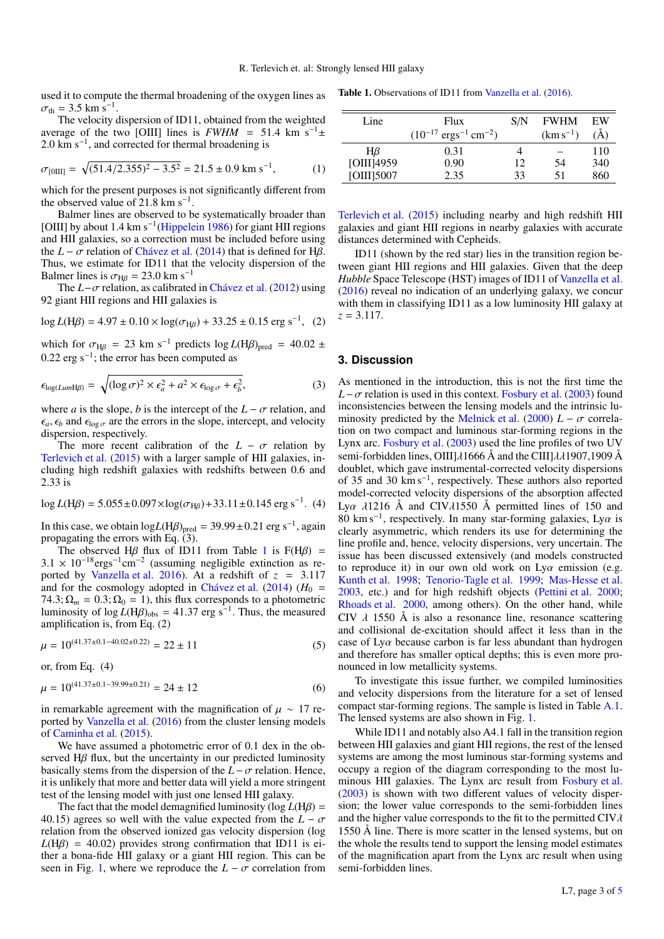used it to compute the thermal broadening of the oxygen lines as  $\sigma_{\text{th}} = 3.5 \text{ km s}^{-1}.$ <br>The velocity of

The velocity dispersion of ID11, obtained from the weighted average of the two [OIII] lines is  $FWHM = 51.4$  km s<sup>-1</sup>± 2.0 km s<sup>-1</sup>, and corrected for thermal broadening is

$$
\sigma_{[0III]} = \sqrt{(51.4/2.355)^2 - 3.5^2} = 21.5 \pm 0.9 \text{ km s}^{-1},\tag{1}
$$

which for the present purposes is not significantly different from the observed value of  $21.8 \text{ km s}^{-1}$ .

Balmer lines are observed to be systematically broader than [OIII] by about 1.4 km s<sup>-1</sup>[\(Hippelein](#page-3-15) [1986\)](#page-3-15) for giant HII regions and HII galaxies, so a correction must be included before using the  $L - \sigma$  relation of [Chávez et al.](#page-3-13) [\(2014\)](#page-3-13) that is defined for H $\beta$ . Thus, we estimate for ID11 that the velocity dispersion of the Balmer lines is  $\sigma_{\text{H}\beta} = 23.0 \text{ km s}^{-1}$ 

The *<sup>L</sup>*−σ relation, as calibrated in [Chávez et al.](#page-3-16) [\(2012\)](#page-3-16) using 92 giant HII regions and HII galaxies is

$$
\log L(\text{H}\beta) = 4.97 \pm 0.10 \times \log(\sigma_{\text{H}\beta}) + 33.25 \pm 0.15 \text{ erg s}^{-1}, \tag{2}
$$

which for  $\sigma_{\text{H}\beta}$  = 23 km s<sup>-1</sup> predicts log *L*(H $\beta$ )<sub>pred</sub> = 40.02 ± <sup>0</sup>.22 erg s−<sup>1</sup> ; the error has been computed as

$$
\epsilon_{\log(LumH\beta)} = \sqrt{(\log \sigma)^2 \times \epsilon_a^2 + a^2 \times \epsilon_{\log \sigma} + \epsilon_b^2},\tag{3}
$$

where *a* is the slope, *b* is the intercept of the  $L - \sigma$  relation, and  $\epsilon_a$ ,  $\epsilon_b$  and  $\epsilon_{\log \sigma}$  are the errors in the slope, intercept, and velocity dispersion, respectively.

The more recent calibration of the  $L - \sigma$  relation by [Terlevich et al.](#page-3-10) [\(2015\)](#page-3-10) with a larger sample of HII galaxies, including high redshift galaxies with redshifts between 0.6 and 2.33 is

$$
\log L(\text{H}\beta) = 5.055 \pm 0.097 \times \log(\sigma_{\text{H}\beta}) + 33.11 \pm 0.145 \text{ erg s}^{-1}. (4)
$$

In this case, we obtain  $logL(H\beta)_{pred} = 39.99 \pm 0.21$  erg s<sup>-1</sup>, again propagating the errors with Eq. (3) propagating the errors with Eq. (3).

The observed Hβ flux of ID[1](#page-2-0)1 from Table 1 is  $F(H\beta) = \times 10^{-18}$  erg  $^{-1}$  cassuming negligible extinction as re- $3.1 \times 10^{-18}$ ergs<sup>-1</sup>cm<sup>-2</sup> (assuming negligible extinction as re-<br>ported by Vanzella et al. 2016). At a redshift of  $z = 3.117$ ported by [Vanzella et al.](#page-3-9) [2016\)](#page-3-9). At a redshift of  $z = 3.117$ and for the cosmology adopted in [Chávez et al.](#page-3-13) [\(2014\)](#page-3-13) ( $H_0$  =  $74.3$ ;  $\Omega_m = 0.3$ ;  $\Omega_0 = 1$ ), this flux corresponds to a photometric luminosity of  $\log L(H\beta)_{\text{obs}} = 41.37$  erg s<sup>-1</sup>. Thus, the measured amplification is from Eq. (2) amplification is, from Eq. (2)

$$
\mu = 10^{(41.37 \pm 0.1 - 40.02 \pm 0.22)} = 22 \pm 11
$$
 (5)

or, from Eq. (4)

$$
\mu = 10^{(41.37 \pm 0.1 - 39.99 \pm 0.21)} = 24 \pm 12
$$
 (6)

in remarkable agreement with the magnification of  $\mu \sim 17$  reported by [Vanzella et al.](#page-3-9) [\(2016\)](#page-3-9) from the cluster lensing models of [Caminha et al.](#page-3-8) [\(2015\)](#page-3-8).

We have assumed a photometric error of 0.1 dex in the observed Hβ flux, but the uncertainty in our predicted luminosity basically stems from the dispersion of the  $L - \sigma$  relation. Hence, it is unlikely that more and better data will yield a more stringent test of the lensing model with just one lensed HII galaxy.

The fact that the model demagnified luminosity ( $log L(H\beta)$  = 40.15) agrees so well with the value expected from the  $L - \sigma$ relation from the observed ionized gas velocity dispersion (log  $L(H\beta) = 40.02$ ) provides strong confirmation that ID11 is either a bona-fide HII galaxy or a giant HII region. This can be seen in Fig. [1,](#page-1-0) where we reproduce the  $L - \sigma$  correlation from

<span id="page-2-0"></span>Table 1. Observations of ID11 from [Vanzella et al.](#page-3-9) [\(2016\)](#page-3-9).

| Line            | Flux                                           | S/N | <b>FWHM</b>   | EW  |
|-----------------|------------------------------------------------|-----|---------------|-----|
|                 | $(10^{-17} \text{ ergs}^{-1} \text{ cm}^{-2})$ |     | $(km s^{-1})$ | (A) |
| $H\beta$        | 0.31                                           |     |               | 110 |
| [OIII]4959      | 0.90                                           | 12  | 54            | 340 |
| $[OIII]$ $5007$ | 2.35                                           | 33  | 51            | 860 |

[Terlevich et al.](#page-3-10) [\(2015\)](#page-3-10) including nearby and high redshift HII galaxies and giant HII regions in nearby galaxies with accurate distances determined with Cepheids.

ID11 (shown by the red star) lies in the transition region between giant HII regions and HII galaxies. Given that the deep *Hubble* Space Telescope (HST) images of ID11 of [Vanzella et al.](#page-3-9) [\(2016\)](#page-3-9) reveal no indication of an underlying galaxy, we concur with them in classifying ID11 as a low luminosity HII galaxy at  $z = 3.117$ .

### **3. Discussion**

As mentioned in the introduction, this is not the first time the  $L-\sigma$  relation is used in this context. [Fosbury et al.](#page-3-6) [\(2003\)](#page-3-6) found inconsistencies between the lensing models and the intrinsic lu-minosity predicted by the [Melnick et al.](#page-3-7) [\(2000\)](#page-3-7)  $L - \sigma$  correlation on two compact and luminous star-forming regions in the Lynx arc. [Fosbury et al.](#page-3-6) [\(2003\)](#page-3-6) used the line profiles of two UV semi-forbidden lines, OIII] $\lambda$ 1666 Å and the CIII] $\lambda\lambda$ 1907,1909 Å doublet, which gave instrumental-corrected velocity dispersions of 35 and 30 km s<sup>−</sup><sup>1</sup> , respectively. These authors also reported model-corrected velocity dispersions of the absorption affected Lya  $\lambda$ 1216 Å and CIV $\lambda$ 1550 Å permitted lines of 150 and 80 km s<sup>-1</sup>, respectively. In many star-forming galaxies, Ly $\alpha$  is clearly asymmetric, which renders its use for determining the clearly asymmetric, which renders its use for determining the line profile and, hence, velocity dispersions, very uncertain. The issue has been discussed extensively (and models constructed to reproduce it) in our own old work on  $Ly\alpha$  emission (e.g. [Kunth et al.](#page-3-17) [1998;](#page-3-17) [Tenorio-Tagle et al.](#page-3-18) [1999;](#page-3-18) [Mas-Hesse et al.](#page-3-19) [2003,](#page-3-19) etc.) and for high redshift objects [\(Pettini et al.](#page-3-20) [2000;](#page-3-20) [Rhoads et al.](#page-3-21) [2000,](#page-3-21) among others). On the other hand, while CIV  $\lambda$  1550 Å is also a resonance line, resonance scattering and collisional de-excitation should affect it less than in the case of  $Lv\alpha$  because carbon is far less abundant than hydrogen and therefore has smaller optical depths; this is even more pronounced in low metallicity systems.

To investigate this issue further, we compiled luminosities and velocity dispersions from the literature for a set of lensed compact star-forming regions. The sample is listed in Table [A.1.](#page-4-1) The lensed systems are also shown in Fig. [1.](#page-1-0)

While ID11 and notably also A4.1 fall in the transition region between HII galaxies and giant HII regions, the rest of the lensed systems are among the most luminous star-forming systems and occupy a region of the diagram corresponding to the most luminous HII galaxies. The Lynx arc result from [Fosbury et al.](#page-3-6) [\(2003\)](#page-3-6) is shown with two different values of velocity dispersion; the lower value corresponds to the semi-forbidden lines and the higher value corresponds to the fit to the permitted  $CIV\lambda$ 1550 Å line. There is more scatter in the lensed systems, but on the whole the results tend to support the lensing model estimates of the magnification apart from the Lynx arc result when using semi-forbidden lines.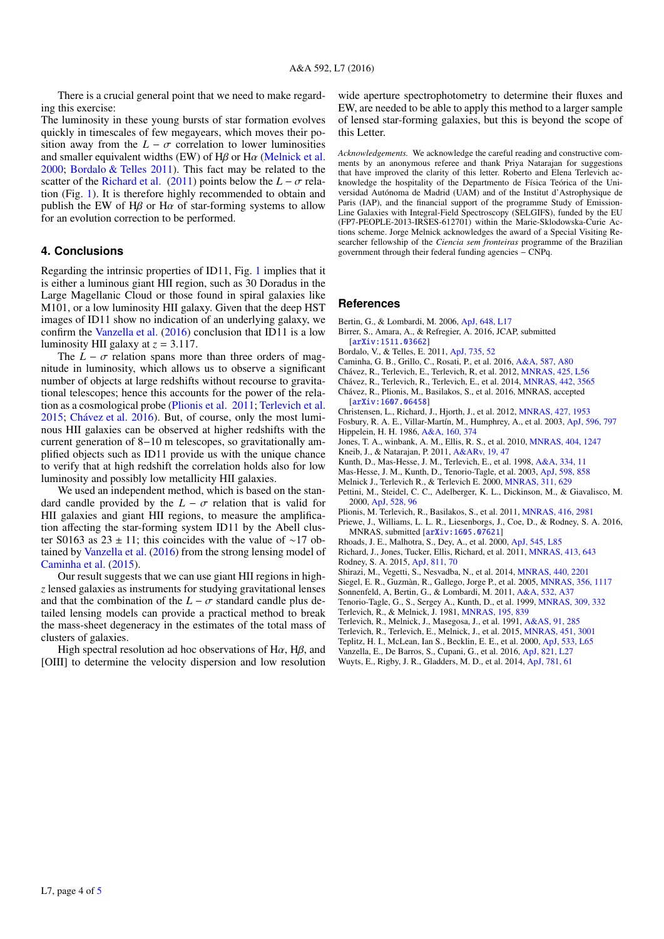There is a crucial general point that we need to make regarding this exercise:

The luminosity in these young bursts of star formation evolves quickly in timescales of few megayears, which moves their position away from the  $L - \sigma$  correlation to lower luminosities and smaller equivalent widths (EW) of H $\beta$  or H $\alpha$  (Melnick et al. and smaller equivalent widths (EW) of H $\beta$  or H $\alpha$  [\(Melnick et al.](#page-3-7)<br>[2000;](#page-3-7) [Bordalo & Telles](#page-3-22) [2011\)](#page-3-22). This fact may be related to the scatter of the [Richard et al.](#page-3-23) [\(2011\)](#page-3-23) points below the  $L - \sigma$  relation (Fig. [1\)](#page-1-0). It is therefore highly recommended to obtain and publish the EW of H $\beta$  or H $\alpha$  of star-forming systems to allow for an evolution correction to be performed.

## **4. Conclusions**

Regarding the intrinsic properties of ID11, Fig. [1](#page-1-0) implies that it is either a luminous giant HII region, such as 30 Doradus in the Large Magellanic Cloud or those found in spiral galaxies like M101, or a low luminosity HII galaxy. Given that the deep HST images of ID11 show no indication of an underlying galaxy, we confirm the [Vanzella et al.](#page-3-9) [\(2016\)](#page-3-9) conclusion that ID11 is a low luminosity HII galaxy at  $z = 3.117$ .

The  $L - \sigma$  relation spans more than three orders of magnitude in luminosity, which allows us to observe a significant number of objects at large redshifts without recourse to gravitational telescopes; hence this accounts for the power of the relation as a cosmological probe [\(Plionis et al.](#page-3-24) [2011;](#page-3-24) [Terlevich et al.](#page-3-10) [2015;](#page-3-10) [Chávez et al.](#page-3-25) [2016\)](#page-3-25). But, of course, only the most luminous HII galaxies can be observed at higher redshifts with the current generation of 8−10 m telescopes, so gravitationally amplified objects such as ID11 provide us with the unique chance to verify that at high redshift the correlation holds also for low luminosity and possibly low metallicity HII galaxies.

We used an independent method, which is based on the standard candle provided by the  $L - \sigma$  relation that is valid for HII galaxies and giant HII regions, to measure the amplification affecting the star-forming system ID11 by the Abell cluster S0163 as  $23 \pm 11$ ; this coincides with the value of ~17 obtained by [Vanzella et al.](#page-3-9) [\(2016\)](#page-3-9) from the strong lensing model of [Caminha et al.](#page-3-8) [\(2015\)](#page-3-8).

Our result suggests that we can use giant HII regions in high*z* lensed galaxies as instruments for studying gravitational lenses and that the combination of the  $L - \sigma$  standard candle plus detailed lensing models can provide a practical method to break the mass-sheet degeneracy in the estimates of the total mass of clusters of galaxies.

High spectral resolution ad hoc observations of H $\alpha$ , H $\beta$ , and [OIII] to determine the velocity dispersion and low resolution wide aperture spectrophotometry to determine their fluxes and EW, are needed to be able to apply this method to a larger sample of lensed star-forming galaxies, but this is beyond the scope of this Letter.

*Acknowledgements.* We acknowledge the careful reading and constructive comments by an anonymous referee and thank Priya Natarajan for suggestions that have improved the clarity of this letter. Roberto and Elena Terlevich acknowledge the hospitality of the Departmento de Física Teórica of the Universidad Autónoma de Madrid (UAM) and of the Institut d'Astrophysique de Paris (IAP), and the financial support of the programme Study of Emission-Line Galaxies with Integral-Field Spectroscopy (SELGIFS), funded by the EU (FP7-PEOPLE-2013-IRSES-612701) within the Marie-Sklodowska-Curie Actions scheme. Jorge Melnick acknowledges the award of a Special Visiting Researcher fellowship of the *Ciencia sem fronteiras* programme of the Brazilian government through their federal funding agencies − CNPq.

#### **References**

- <span id="page-3-3"></span>Bertin, G., & Lombardi, M. 2006, [ApJ, 648, L17](http://linker.aanda.org/10.1051/0004-6361/201628772/1)
- <span id="page-3-1"></span>Birrer, S., Amara, A., & Refregier, A. 2016, JCAP, submitted [[arXiv:1511.03662](http://arxiv.org/abs/1511.03662)]
- <span id="page-3-22"></span>Bordalo, V., & Telles, E. 2011, [ApJ, 735, 52](http://linker.aanda.org/10.1051/0004-6361/201628772/3)
- <span id="page-3-8"></span>Caminha, G. B., Grillo, C., Rosati, P., et al. 2016, [A&A, 587, A80](http://linker.aanda.org/10.1051/0004-6361/201628772/4)
- <span id="page-3-16"></span>Chávez, R., Terlevich, E., Terlevich, R, et al. 2012, [MNRAS, 425, L56](http://linker.aanda.org/10.1051/0004-6361/201628772/5)
- <span id="page-3-13"></span>Chávez, R., Terlevich, R., Terlevich, E., et al. 2014, [MNRAS, 442, 3565](http://linker.aanda.org/10.1051/0004-6361/201628772/6)

<span id="page-3-25"></span>Chávez, R., Plionis, M., Basilakos, S., et al. 2016, MNRAS, accepted [[arXiv:1607.06458](http://arxiv.org/abs/1607.06458)]

- <span id="page-3-27"></span>Christensen, L., Richard, J., Hjorth, J., et al. 2012, [MNRAS, 427, 1953](http://linker.aanda.org/10.1051/0004-6361/201628772/8)
- <span id="page-3-15"></span><span id="page-3-6"></span>Fosbury, R. A. E., Villar-Martín, M., Humphrey, A., et al. 2003, [ApJ, 596, 797](http://linker.aanda.org/10.1051/0004-6361/201628772/9) Hippelein, H. H. 1986, [A&A, 160, 374](http://linker.aanda.org/10.1051/0004-6361/201628772/10)

<span id="page-3-26"></span>Jones, T. A., winbank, A. M., Ellis, R. S., et al. 2010, [MNRAS, 404, 1247](http://linker.aanda.org/10.1051/0004-6361/201628772/11)

- <span id="page-3-0"></span>Kneib, J., & Natarajan, P. 2011, [A&ARv, 19, 47](http://linker.aanda.org/10.1051/0004-6361/201628772/12)
- <span id="page-3-17"></span>Kunth, D., Mas-Hesse, J. M., Terlevich, E., et al. 1998, [A&A, 334, 11](http://linker.aanda.org/10.1051/0004-6361/201628772/13)
- <span id="page-3-19"></span>Mas-Hesse, J. M., Kunth, D., Tenorio-Tagle, et al. 2003, [ApJ, 598, 858](http://linker.aanda.org/10.1051/0004-6361/201628772/14)
- <span id="page-3-7"></span>Melnick J., Terlevich R., & Terlevich E. 2000, [MNRAS, 311, 629](http://linker.aanda.org/10.1051/0004-6361/201628772/15)
- <span id="page-3-20"></span>Pettini, M., Steidel, C. C., Adelberger, K. L., Dickinson, M., & Giavalisco, M. 2000, [ApJ, 528, 96](http://linker.aanda.org/10.1051/0004-6361/201628772/16)

<span id="page-3-24"></span>Plionis, M. Terlevich, R., Basilakos, S., et al. 2011, [MNRAS, 416, 2981](http://linker.aanda.org/10.1051/0004-6361/201628772/17)

- <span id="page-3-2"></span>Priewe, J., Williams, L. L. R., Liesenborgs, J., Coe, D., & Rodney, S. A. 2016, MNRAS, submitted [[arXiv:1605.07621](http://arxiv.org/abs/1605.07621)]
- <span id="page-3-21"></span>Rhoads, J. E., Malhotra, S., Dey, A., et al. 2000, [ApJ, 545, L85](http://linker.aanda.org/10.1051/0004-6361/201628772/19)
- <span id="page-3-23"></span>Richard, J., Jones, Tucker, Ellis, Richard, et al. 2011, [MNRAS, 413, 643](http://linker.aanda.org/10.1051/0004-6361/201628772/20)

<span id="page-3-5"></span>Rodney, S. A. 2015, [ApJ, 811, 70](http://linker.aanda.org/10.1051/0004-6361/201628772/21)

<span id="page-3-30"></span>Shirazi, M., Vegetti, S., Nesvadba, N., et al. 2014, [MNRAS, 440, 2201](http://linker.aanda.org/10.1051/0004-6361/201628772/22)

<span id="page-3-14"></span>Siegel, E. R., Guzmàn, R., Gallego, Jorge P., et al. 2005, [MNRAS, 356, 1117](http://linker.aanda.org/10.1051/0004-6361/201628772/23)

<span id="page-3-4"></span>Sonnenfeld, A, Bertin, G., & Lombardi, M. 2011, [A&A, 532, A37](http://linker.aanda.org/10.1051/0004-6361/201628772/24)

- <span id="page-3-18"></span><span id="page-3-11"></span>Tenorio-Tagle, G., S., Sergey A., Kunth, D., et al. 1999, [MNRAS, 309, 332](http://linker.aanda.org/10.1051/0004-6361/201628772/25) Terlevich, R., & Melnick, J. 1981, [MNRAS, 195, 839](http://linker.aanda.org/10.1051/0004-6361/201628772/26)
- <span id="page-3-12"></span>Terlevich, R., Melnick, J., Masegosa, J., et al. 1991, [A&AS, 91, 285](http://linker.aanda.org/10.1051/0004-6361/201628772/27)
- <span id="page-3-10"></span>Terlevich, R., Terlevich, E., Melnick, J., et al. 2015, [MNRAS, 451, 3001](http://linker.aanda.org/10.1051/0004-6361/201628772/28)
- <span id="page-3-29"></span>Teplitz, H. I., McLean, Ian S., Becklin, E. E., et al. 2000, [ApJ, 533, L65](http://linker.aanda.org/10.1051/0004-6361/201628772/29)
- <span id="page-3-9"></span>Vanzella, E., De Barros, S., Cupani, G., et al. 2016, [ApJ, 821, L27](http://linker.aanda.org/10.1051/0004-6361/201628772/30)
- <span id="page-3-28"></span>Wuyts, E., Rigby, J. R., Gladders, M. D., et al. 2014, [ApJ, 781, 61](http://linker.aanda.org/10.1051/0004-6361/201628772/31)